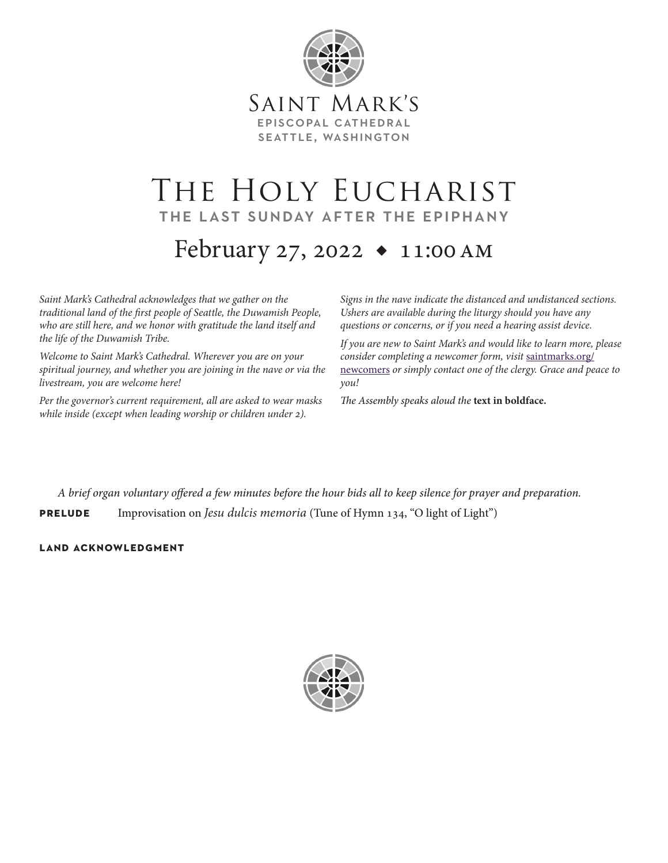

## THE HOLY EUCHARIST the last sunday after the epiphany

## February 27, 2022  $\bullet$  11:00 AM

*Saint Mark's Cathedral acknowledges that we gather on the traditional land of the first people of Seattle, the Duwamish People, who are still here, and we honor with gratitude the land itself and the life of the Duwamish Tribe.* 

*Welcome to Saint Mark's Cathedral. Wherever you are on your spiritual journey, and whether you are joining in the nave or via the livestream, you are welcome here!*

*Per the governor's current requirement, all are asked to wear masks while inside (except when leading worship or children under 2).*

*Signs in the nave indicate the distanced and undistanced sections. Ushers are available during the liturgy should you have any questions or concerns, or if you need a hearing assist device.*

*If you are new to Saint Mark's and would like to learn more, please consider completing a newcomer form, visit* saintmarks.org/ newcomers *or simply contact one of the clergy. Grace and peace to you!*

*The Assembly speaks aloud the* **text in boldface.**

*A brief organ voluntary offered a few minutes before the hour bids all to keep silence for prayer and preparation.* **PRELUDE** Improvisation on *Jesu dulcis memoria* (Tune of Hymn 134, "O light of Light")

**land acknowledgment**

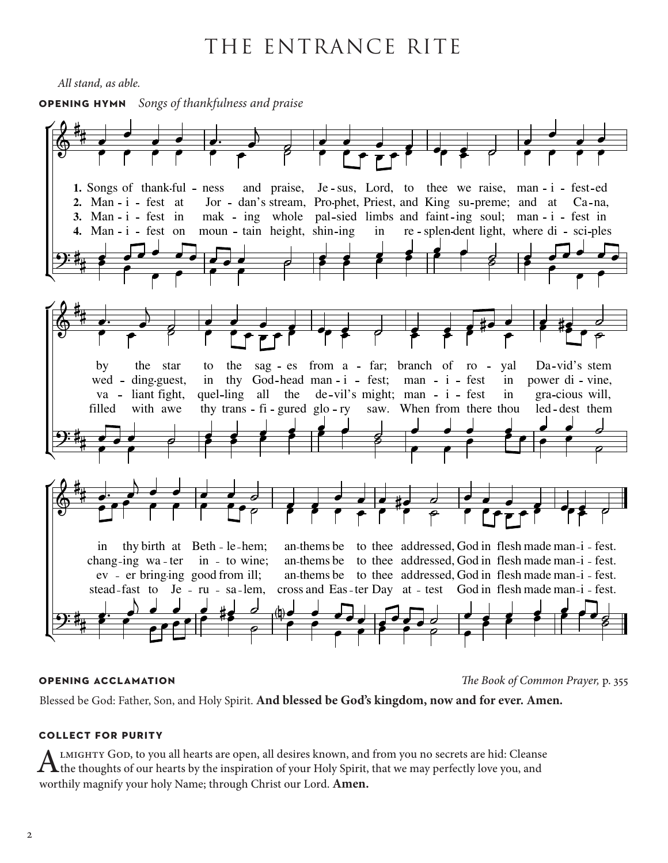## THE ENTRANCE RITE

*All stand, as able.*

**opening hymn** *Songs of thankfulness and praise*



**opening acclamation** *The Book of Common Prayer,* p. 355

Blessed be God: Father, Son, and Holy Spirit. **And blessed be God's kingdom, now and for ever. Amen.**

#### **collect for purity**

ALMIGHTY GOD, to you all hearts are open, all desires known, and from you no secrets are hid: Cleanse<br>the thoughts of our hearts by the inspiration of your Holy Spirit, that we may perfectly love you, and worthily magnify your holy Name; through Christ our Lord. **Amen.**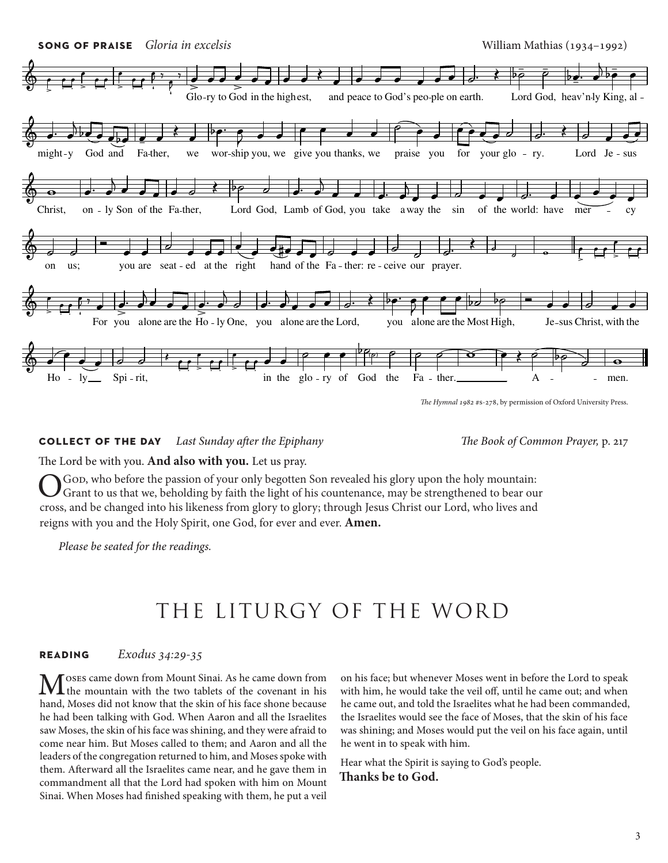

*The Hymnal 1982* #s-278, by permission of Oxford University Press.

#### **collect of the day** *Last Sunday after the Epiphany The Book of Common Prayer,* p. 217

The Lord be with you. **And also with you.** Let us pray.

GOD, who before the passion of your only begotten Son revealed his glory upon the holy mountain: Grant to us that we, beholding by faith the light of his countenance, may be strengthened to bear our cross, and be changed into his likeness from glory to glory; through Jesus Christ our Lord, who lives and reigns with you and the Holy Spirit, one God, for ever and ever. **Amen.**

*Please be seated for the readings.*

## THE LITURGY OF THE WORD

### **reading** *Exodus 34:29-35*

OSES came down from Mount Sinai. As he came down from the mountain with the two tablets of the covenant in his hand, Moses did not know that the skin of his face shone because he had been talking with God. When Aaron and all the Israelites saw Moses, the skin of his face was shining, and they were afraid to come near him. But Moses called to them; and Aaron and all the leaders of the congregation returned to him, and Moses spoke with them. Afterward all the Israelites came near, and he gave them in commandment all that the Lord had spoken with him on Mount Sinai. When Moses had finished speaking with them, he put a veil

on his face; but whenever Moses went in before the Lord to speak with him, he would take the veil off, until he came out; and when he came out, and told the Israelites what he had been commanded, the Israelites would see the face of Moses, that the skin of his face was shining; and Moses would put the veil on his face again, until he went in to speak with him.

Hear what the Spirit is saying to God's people. **Thanks be to God.**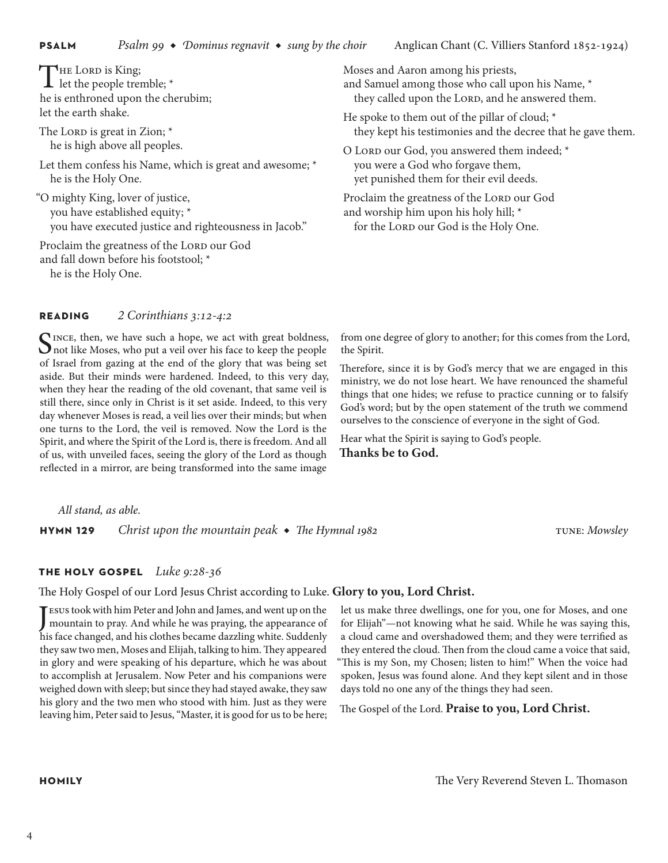THE LORD is King;<br>let the people tremble; \* he is enthroned upon the cherubim; let the earth shake.

The Lorp is great in Zion;  $*$ he is high above all peoples.

Let them confess his Name, which is great and awesome; \* he is the Holy One.

"O mighty King, lover of justice, you have established equity; \* you have executed justice and righteousness in Jacob."

Proclaim the greatness of the LORD our God and fall down before his footstool; \*

he is the Holy One.

#### **reading** *2 Corinthians 3:12-4:2*

SINCE, then, we have such a hope, we act with great boldness, not like Moses, who put a veil over his face to keep the people of Israel from gazing at the end of the glory that was being set aside. But their minds were hardened. Indeed, to this very day, when they hear the reading of the old covenant, that same veil is still there, since only in Christ is it set aside. Indeed, to this very day whenever Moses is read, a veil lies over their minds; but when one turns to the Lord, the veil is removed. Now the Lord is the Spirit, and where the Spirit of the Lord is, there is freedom. And all of us, with unveiled faces, seeing the glory of the Lord as though reflected in a mirror, are being transformed into the same image

Moses and Aaron among his priests, and Samuel among those who call upon his Name, \*

they called upon the LORD, and he answered them.

He spoke to them out of the pillar of cloud; \* they kept his testimonies and the decree that he gave them.

O Lord our God, you answered them indeed; \* you were a God who forgave them, yet punished them for their evil deeds.

Proclaim the greatness of the LORD our God and worship him upon his holy hill; \* for the Lord our God is the Holy One.

from one degree of glory to another; for this comes from the Lord, the Spirit.

Therefore, since it is by God's mercy that we are engaged in this ministry, we do not lose heart. We have renounced the shameful things that one hides; we refuse to practice cunning or to falsify God's word; but by the open statement of the truth we commend ourselves to the conscience of everyone in the sight of God.

Hear what the Spirit is saying to God's people. **Thanks be to God.**

*All stand, as able.* 

**hymn 129** Christ upon the mountain peak ◆ The Hymnal 1982 tune: *Mowsley* tune: *Mowsley* 

### **the holy gospel** *Luke 9:28-36*

The Holy Gospel of our Lord Jesus Christ according to Luke. **Glory to you, Lord Christ.**

**J** Esus took with him Peter and John and James, and went up on the mountain to pray. And while he was praying, the appearance of esus took with him Peter and John and James, and went up on the his face changed, and his clothes became dazzling white. Suddenly they saw two men, Moses and Elijah, talking to him. They appeared in glory and were speaking of his departure, which he was about to accomplish at Jerusalem. Now Peter and his companions were weighed down with sleep; but since they had stayed awake, they saw his glory and the two men who stood with him. Just as they were leaving him, Peter said to Jesus, "Master, it is good for us to be here;

let us make three dwellings, one for you, one for Moses, and one for Elijah"—not knowing what he said. While he was saying this, a cloud came and overshadowed them; and they were terrified as they entered the cloud. Then from the cloud came a voice that said, "This is my Son, my Chosen; listen to him!" When the voice had spoken, Jesus was found alone. And they kept silent and in those days told no one any of the things they had seen.

The Gospel of the Lord. **Praise to you, Lord Christ.**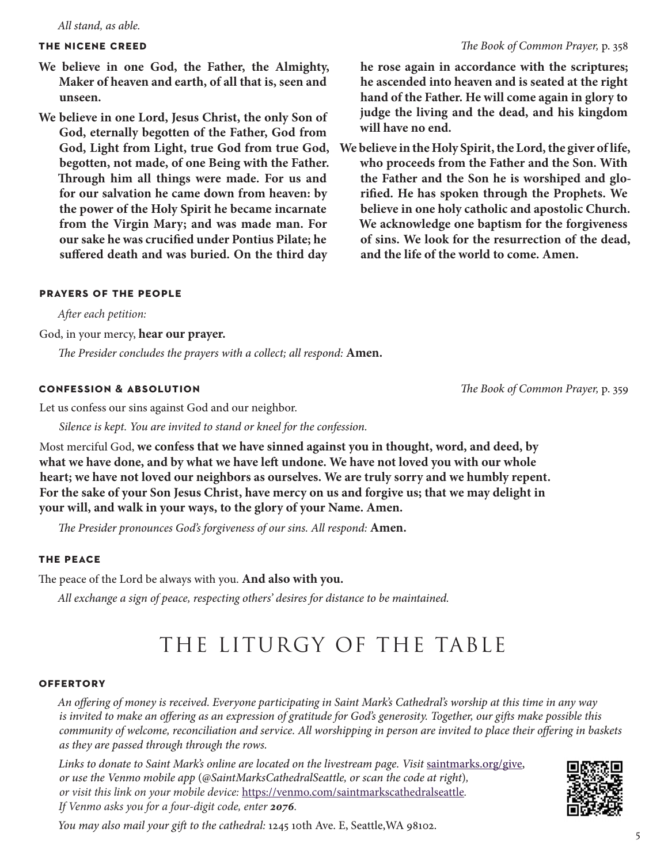- **We believe in one God, the Father, the Almighty, Maker of heaven and earth, of all that is, seen and unseen.**
- **We believe in one Lord, Jesus Christ, the only Son of God, eternally begotten of the Father, God from God, Light from Light, true God from true God, begotten, not made, of one Being with the Father. Through him all things were made. For us and for our salvation he came down from heaven: by the power of the Holy Spirit he became incarnate from the Virgin Mary; and was made man. For our sake he was crucified under Pontius Pilate; he suffered death and was buried. On the third day**

### **prayers of the people**

*After each petition:*

God, in your mercy, **hear our prayer.**

*The Presider concludes the prayers with a collect; all respond:* **Amen.**

Let us confess our sins against God and our neighbor.

*Silence is kept. You are invited to stand or kneel for the confession.*

Most merciful God, **we confess that we have sinned against you in thought, word, and deed, by what we have done, and by what we have left undone. We have not loved you with our whole heart; we have not loved our neighbors as ourselves. We are truly sorry and we humbly repent. For the sake of your Son Jesus Christ, have mercy on us and forgive us; that we may delight in your will, and walk in your ways, to the glory of your Name. Amen.**

*The Presider pronounces God's forgiveness of our sins. All respond:* **Amen.**

#### **the peace**

The peace of the Lord be always with you. **And also with you.**

*All exchange a sign of peace, respecting others' desires for distance to be maintained.* 

# THE LITURGY OF THE TABLE

### **offertory**

*An offering of money is received. Everyone participating in Saint Mark's Cathedral's worship at this time in any way is invited to make an offering as an expression of gratitude for God's generosity. Together, our gifts make possible this community of welcome, reconciliation and service. All worshipping in person are invited to place their offering in baskets as they are passed through through the rows.* 

Links to donate to Saint Mark's online are located on the livestream page. Visit [saintmarks.org/give,](http://saintmarks.org/give) *or use the Venmo mobile app* (*@SaintMarksCathedralSeattle, or scan the code at right*)*, or visit this link on your mobile device:* <https://venmo.com/saintmarkscathedralseattle>*. If Venmo asks you for a four-digit code, enter 2076.*

*You may also mail your gift to the cathedral:* 1245 10th Ave. E, Seattle,WA 98102.

### **the nicene creed** *The Book of Common Prayer,* p. 358

**he rose again in accordance with the scriptures; he ascended into heaven and is seated at the right hand of the Father. He will come again in glory to judge the living and the dead, and his kingdom will have no end.**

**We believe in the Holy Spirit, the Lord, the giver of life, who proceeds from the Father and the Son. With the Father and the Son he is worshiped and glorified. He has spoken through the Prophets. We believe in one holy catholic and apostolic Church. We acknowledge one baptism for the forgiveness of sins. We look for the resurrection of the dead, and the life of the world to come. Amen.**

**confession & absolution** *The Book of Common Prayer,* p. 359

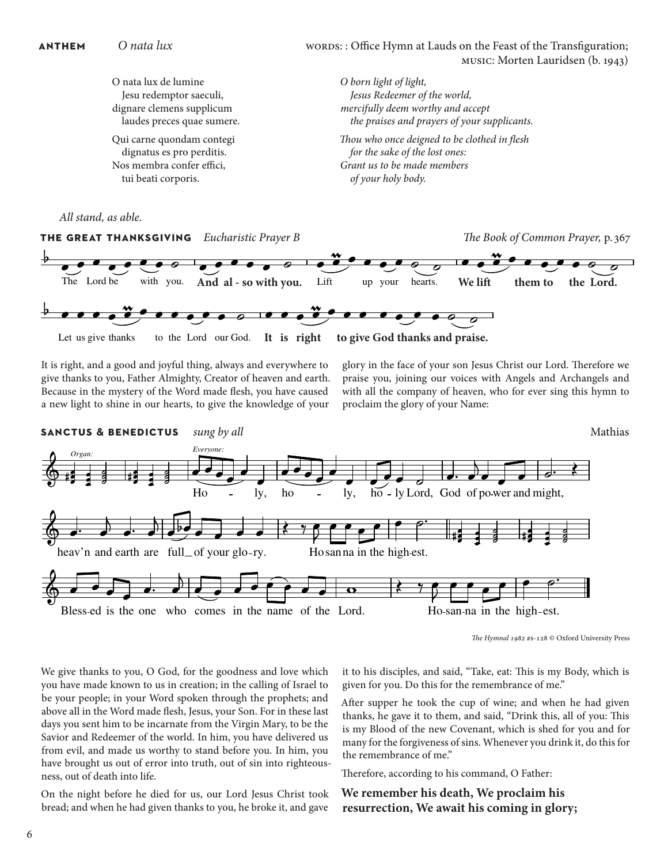

.<br>All stand, as able.

The Book of Common Prayer, p. 367



It is right, and a good and joyful thing, always and everywhere to It is right, and a good and joyful thing, always and everywhere to<br>give thanks to you, Father Almighty, Creator of heaven and earth.<br>Because in the mystery of the Word made flesh, you have caused give thanks to you, Father Almighty, Creator of heaven and earth.<br>Because in the mystery of the Word made flesh, you have caused a new light to shine in our hearts, to give the knowledge of your

glory in the face of your son Jesus Christ our Lord. Therefore we et to glory in the face of your son jesus Christ our Lord. Therefore we<br>praise you, joining our voices with Angels and Archangels and<br>sed with all the company of heaven, who for ever sing this hymn to praise you, joining our voices with Angels and Archangels and with all the company of heaven, who for ever sing this hymn to proclaim the glory of your Name:



*The Hymnal 1982* #s-128 © Oxford University Press

We give thanks to you, O God, for the goodness and love which you have made known to us in creation; in the calling of Israel to be your people; in your Word spoken through the prophets; and above all in the Word made flesh, Jesus, your Son. For in these last days you sent him to be incarnate from the Virgin Mary, to be the Savior and Redeemer of the world. In him, you have delivered us from evil, and made us worthy to stand before you. In him, you have brought us out of error into truth, out of sin into righteousness, out of death into life.

On the night before he died for us, our Lord Jesus Christ took bread; and when he had given thanks to you, he broke it, and gave

it to his disciples, and said, "Take, eat: This is my Body, which is given for you. Do this for the remembrance of me."

After supper he took the cup of wine; and when he had given thanks, he gave it to them, and said, "Drink this, all of you: This is my Blood of the new Covenant, which is shed for you and for many for the forgiveness of sins. Whenever you drink it, do this for the remembrance of me."

Therefore, according to his command, O Father:

### **We remember his death, We proclaim his resurrection, We await his coming in glory;**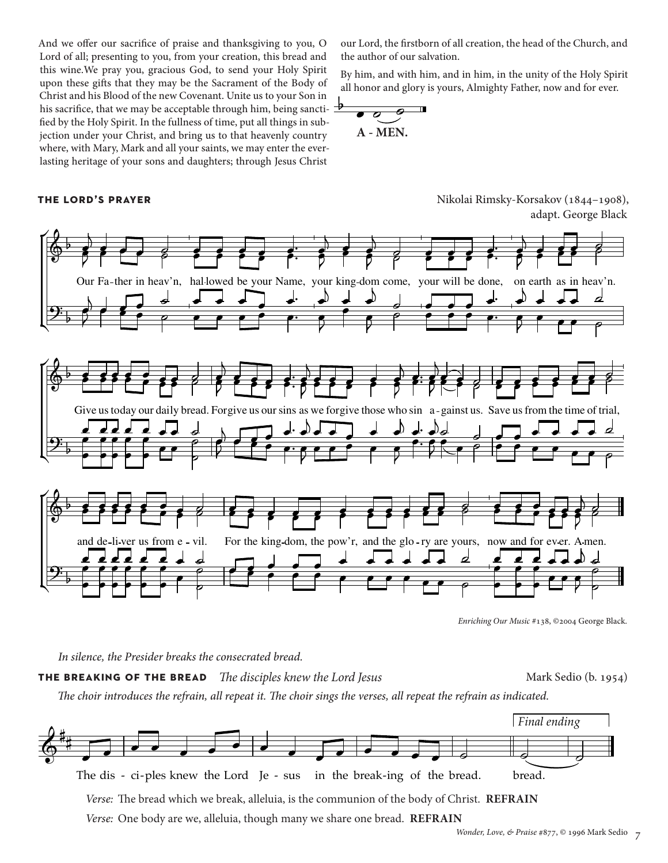And we offer our sacrifice of praise and thanksgiving to you, O Lord of all; presenting to you, from your creation, this bread and this wine.We pray you, gracious God, to send your Holy Spirit upon these gifts that they may be the Sacrament of the Body of Christ and his Blood of the new Covenant. Unite us to your Son in his sacrifice, that we may be acceptable through him, being sanctified by the Holy Spirit. In the fullness of time, put all things in subjection under your Christ, and bring us to that heavenly country where, with Mary, Mark and all your saints, we may enter the everlasting heritage of your sons and daughters; through Jesus Christ

 our Lord, the firstborn of all creation, the head of the Church, and is right us give thanks Let our God. the It to Lord  $nd$ the author of our salvation.

all honor and glory is yours, Almighty Father, now and for ever. By him, and with him, and in him, in the unity of the Holy Spirit

$$
\begin{array}{c}\n\flat \\
\hline\n\bullet\n\circ\n\end{array}
$$

#### adapt. George Black  $\overline{\phantom{a}}$ 3 in heav'n, hal lowed be your Name, your king-dom come, your will be done,  $\blacksquare$  $\mathbf{\tilde{e}}$  $\blacksquare$  $\mathbf{\tilde{e}}$ 3  $\overline{\phantom{a}}$  $\ddot{\phantom{0}}$ :  $\overline{\bullet}$ Z on earth as in heav'n.  $\overline{\phantom{a}}$  $\overline{\mathbf{f}}$  $\overline{\bullet}$ 3  $\overline{\phantom{a}}$  $\overline{\phantom{a}}$  $\overline{\phantom{0}}$ :  $\overline{\phantom{a}}$  $\overline{\mathbf{z}}$  $\overline{\bullet}$  $\frac{2}{3}$  $\overline{\bullet}$ ś  $\bullet$  $\overline{\mathbf{B}}$  $\overline{a}$  $\overline{a}$  3 <u>|</u>  $\frac{\bullet}{\bullet}$  $\overline{\mathbf{z}}$  $\overline{\phantom{a}}$  $\overline{\overline{\rho}}$  $\overline{\bullet}$ 7  $\overline{\phantom{a}}$  $\overline{\phantom{a}}$  $\overline{a}$  $\overline{a}$  $\overline{a}$  $\overline{\bullet}$ \$  $\overline{\phantom{a}}$ ŕ 8 \$  $\bullet$ ŕ  $\overline{\mathbf{z}}$  $\bullet$  $\overline{1}$  $\overline{\phantom{a}}$  $\bullet$  $\mathbf{\hat{e}}$  $\overline{\bullet}$ ₹ <u>J</u>  $\overline{a}$  $\overline{\phantom{a}}$ -<br>\  $\overline{z}$ ŕ Ľ  $\oint_{0}$ 6 Our  $\begin{array}{c}\n\bullet & \bullet \\
\bullet & \bullet \\
\text{Our Fa-thc}\n\end{array}$ Fa-ther in heav'n, hallowed be your Name, your king , ź  $\overline{\bullet}$ \$  $\overline{\bullet}$ F  $\overline{\phantom{a}}$  $\overline{\mathbf{B}}$  $\left\langle \cdot \right\rangle$ F  $\bullet$  $\overline{\phantom{a}}$ : :  $\ddot{\phantom{0}}$ 81 \$  $\bullet$ é  $\overline{a}$  $\overline{\phantom{a}}$  $\overline{\bullet}$ 7 <u>J</u>  $\overline{\phantom{a}}$  $\overline{\bullet}$ 3  $\blacksquare$  $\overline{\phantom{a}}$  $\overline{\phantom{a}}$ 3 <u>J</u>  $\mathbf{\tilde{e}}$ É Give us today our daily bread. For give us our sins as we for give those who sin a-gainst us. Save us from the time of trial,  $\frac{1}{2}$  $\frac{2}{\sqrt{2}}$ e È  $\overline{\bullet}$  $\mathcal{H}$ <u>J</u>  $\mathbf{\tilde{f}}$  $\overline{a}$  $\overline{\bullet}$  $\overline{z}$  $\frac{1}{2}$ 3 <u>|</u> é  $\overline{\mathbf{z}}$  $\frac{1}{2}$  $\frac{\partial}{\partial \rho}$  $\overline{\bullet}$ 3  $\bullet$ e  $\overline{\phantom{a}}$ 3 <u>|</u> é  $\overline{\bullet}$ \$ <u>J</u>  $\mathbf{\tilde{e}}$  $\frac{1}{2}$  $\frac{1}{1}$  $\ddot{\phantom{0}}$  $\overline{\phantom{0}}$  $\overline{\bullet}$ F  $\bullet$  $\overline{\mathbf{f}}$  $\overline{a}$  $\overline{a}$  $\overline{\phantom{a}}$  $\blacksquare$  $\overline{\phantom{a}}$  $\overline{\mathbf{B}}$  $\overline{\phantom{a}}$  $\overline{\epsilon}$  $\overline{\bullet}$ 3  $\frac{1}{\sqrt{2}}$ e  $\overline{\bullet}$ f  $\overline{\bullet}$  $\mathbf{\tilde{e}}$  $\overline{\bullet}$ \$  $\frac{1}{\sqrt{2}}$  $\overline{\phantom{a}}$ 8 \$  $\overline{\bullet}$ 3  $\blacksquare$ e  $\overline{\bullet}$ 3  $\overline{\phantom{a}}$ e I QLI ŕ  $\overline{\phantom{a}}$ ╞ e<br>P  $\overline{\mathbf{z}}$  $\frac{1}{2}$  $\frac{2}{3}$  $\mathsf{L}\mathsf{R}$  $\overline{\bullet}$ 3  $\overline{\phantom{a}}$ e  $\overline{\bullet}$  $\overline{\mathbf{z}}$  $\frac{1}{\sqrt{2}}$ ┣ e<br>P J  $\overline{\mathbf{z}}$ ŕ Ľ ֍⊧  $\mathfrak{P}_{\flat}$ e<br>P  $\overline{\bullet}$  $\vec{ }$ <u>J</u> ╿ e<br>P  $\overline{\phantom{a}}$ ╞ e<br>P  $\overline{\bullet}$  $\vec{ }$  $\overline{\phantom{a}}$ ╿  $\ddot{\phantom{0}}$  $\overline{\phantom{a}}$  $\overline{\bullet}$ F  $\overline{\phantom{a}}$  $\overline{\mathbf{f}}$  $\overline{a}$  $\overline{a}$  $\overline{\bullet}$ 3  $\overline{\phantom{a}}$ e  $\overline{\phantom{a}}$  $-\frac{1}{6}$   $\frac{2}{6}$ 3  $\bullet$  $\overline{1}$  $\overline{a}$  $\overline{\bullet}$ 7  $\frac{1}{\sqrt{2}}$ e 8 3 T.  $\overline{\bullet}$ f  $\frac{1}{2}$  $\ddot{\phantom{0}}$  $\overline{\phantom{a}}$  $\overline{a}$  $\overline{z}$  $\overline{\phantom{a}}$ 3 ŕ  $\overline{\bullet}$ 7  $\overline{\phantom{a}}$ É  $\overline{\bullet}$  $\vec{ }$ For the king-dom, the pow'r, and the glo-ry are yours, now and for ever. A men. <u>ل</u> F e<br>P  $\overline{\mathbf{z}}$ ⊿  $\overline{\bullet}$ É  $\overline{\phantom{a}}$ F e<br>P  $\blacksquare$ e  $555$  $\bullet$  $\overline{ }$  $\overline{\bullet}$  $\vec{\bm{s}}$  f  $\blacksquare$  $\overline{\phantom{a}}$  $\overline{\phantom{a}}$ ,  $\overline{\bullet}$ 3  $\frac{1}{\sqrt{2}}$  $\overline{\phantom{a}}$  $\overline{a}$  $\overline{\mathbf{z}}$  $\frac{1}{2}$  $\frac{\bm\varphi}{\bm\rho}$  $\overline{\phantom{0}}$  $\overline{\bullet}$  $\vec{\bm{s}}$ <u>J</u> e  $\overline{\bullet}$ ŕ  $\overline{\phantom{a}}$ ╞ e<br>P  $\overline{\bullet}$  $\vec{r}$  $\overline{\phantom{a}}$  $\overline{\mathbf{f}}$  $\overline{a}$  $\overline{a}$  $\overline{\bullet}$ \$  $\blacksquare$  $\overline{ }$  $\overline{\bullet}$ É ver us from e - vil.  $\overline{\phantom{a}}$ ╞ e<br>P  $\overline{\bullet}$ É  $\overline{\phantom{a}}$ ╞ e<br>P  $\overline{\bullet}$ \$  $\bullet$  $\overline{ }$  $\overline{\bullet}$ ŕ  $\overline{\phantom{a}}$ ╞ e<br>P  $\overline{\bullet}$ É and <u>|</u> ╞ e<br>P K Ľ ò  $\frac{1}{2}$  $\overline{\bullet}$  $\vec{ }$ li <u>ل</u> L e<br>P  $\overline{\bullet}$ É de  $\overline{\phantom{a}}$ ╞ e<br>P  $\overline{\phantom{a}}$ f  $\frac{1}{\sqrt{2}}$ ŕ  $\overline{\phantom{a}}$ F  $\bullet$ é  $\overline{\bullet}$  $\overline{\bullet}$  $\overline{\phantom{a}}$ ,  $\frac{1}{2}$   $\frac{1}{2}$   $\frac{1}{2}$ 3  $\overline{\phantom{a}}$ é  $\overline{\bullet}$ 3  $\overline{\phantom{a}}$  $\overline{\mathbf{z}}$  $\bullet$  $\frac{\bm \theta}{P}$  $\overline{\phantom{0}}$  $\overline{\bullet}$  $\overline{\bullet}$ 7 Ź

**THE LORD'S PRAYER the lord's proposed by the lord's proposed by the Nikolai Rimsky-Korsakov (1844–1908),** 

*Enriching Our Music* #138, ©2004 George Black.

*In silence, the Presider breaks the consecrated bread.*

**THE BREAKING OF THE BREAD** The disciples knew the Lord Jesus Mark Sedio (b. 1954)

The choir introduces the refrain, all repeat it. The choir sings the verses, all repeat the refrain as indicated.



Verse: The bread which we break, alleluia, is the communion of the body of Christ. REFRAIN Verse: One body are we, alleluia, though many we share one bread. REFRAIN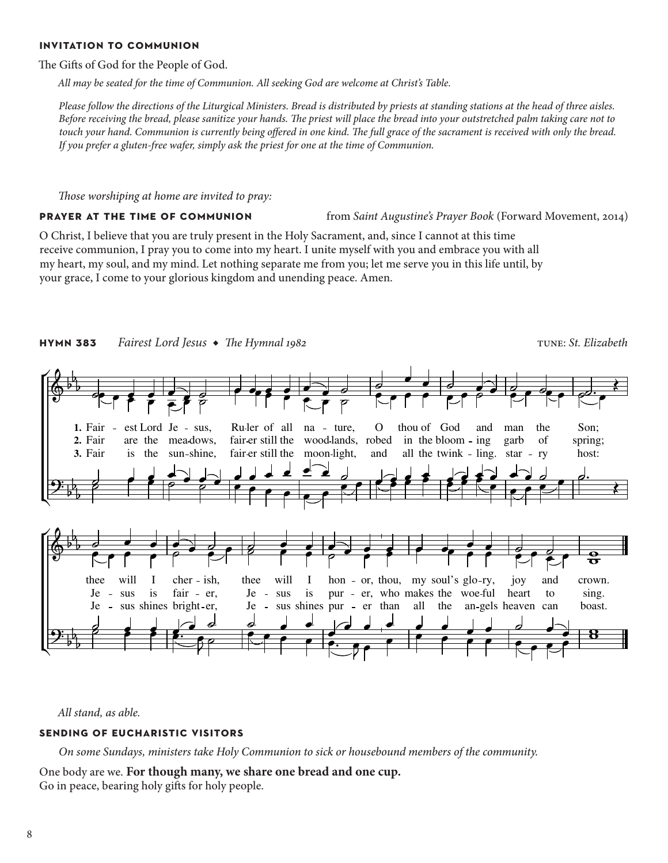#### **invitation to communion**

#### The Gifts of God for the People of God.

*All may be seated for the time of Communion. All seeking God are welcome at Christ's Table.* 

*Please follow the directions of the Liturgical Ministers. Bread is distributed by priests at standing stations at the head of three aisles. Before receiving the bread, please sanitize your hands. The priest will place the bread into your outstretched palm taking care not to touch your hand. Communion is currently being offered in one kind. The full grace of the sacrament is received with only the bread. If you prefer a gluten-free wafer, simply ask the priest for one at the time of Communion.*

*Those worshiping at home are invited to pray:*

**prayer at the time of communion** from *Saint Augustine's Prayer Book* (Forward Movement, 2014)

O Christ, I believe that you are truly present in the Holy Sacrament, and, since I cannot at this time receive communion, I pray you to come into my heart. I unite myself with you and embrace you with all my heart, my soul, and my mind. Let nothing separate me from you; let me serve you in this life until, by your grace, I come to your glorious kingdom and unending peace. Amen.



*All stand, as able.*

#### **sending of eucharistic visitors**

*On some Sundays, ministers take Holy Communion to sick or housebound members of the community.* 

One body are we. **For though many, we share one bread and one cup.** Go in peace, bearing holy gifts for holy people.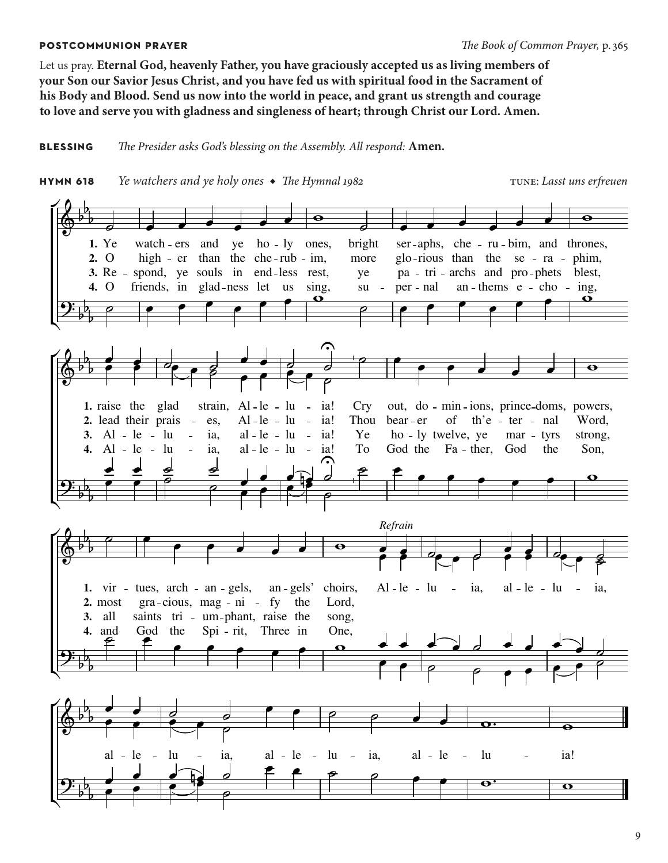Let us pray. **Eternal God, heavenly Father, you have graciously accepted us as living members of your Son our Savior Jesus Christ, and you have fed us with spiritual food in the Sacrament of his Body and Blood. Send us now into the world in peace, and grant us strength and courage to love and serve you with gladness and singleness of heart; through Christ our Lord. Amen.**

**blessing** *The Presider asks God's blessing on the Assembly. All respond:* **Amen.**